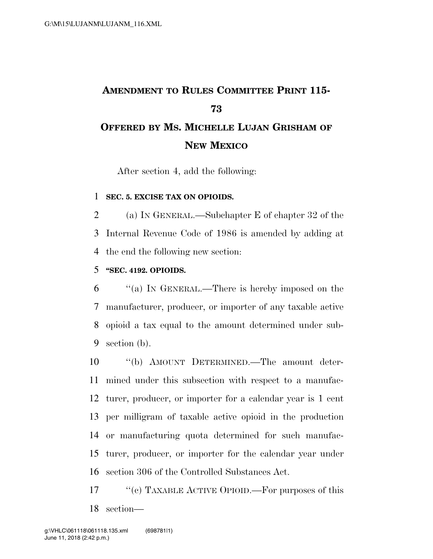# **AMENDMENT TO RULES COMMITTEE PRINT 115- OFFERED BY MS. MICHELLE LUJAN GRISHAM OF**

### **NEW MEXICO**

After section 4, add the following:

#### **SEC. 5. EXCISE TAX ON OPIOIDS.**

 (a) IN GENERAL.—Subchapter E of chapter 32 of the Internal Revenue Code of 1986 is amended by adding at the end the following new section:

#### **''SEC. 4192. OPIOIDS.**

 ''(a) IN GENERAL.—There is hereby imposed on the manufacturer, producer, or importer of any taxable active opioid a tax equal to the amount determined under sub-section (b).

 ''(b) AMOUNT DETERMINED.—The amount deter- mined under this subsection with respect to a manufac- turer, producer, or importer for a calendar year is 1 cent per milligram of taxable active opioid in the production or manufacturing quota determined for such manufac- turer, producer, or importer for the calendar year under section 306 of the Controlled Substances Act.

17 ''(c) TAXABLE ACTIVE OPIOID.—For purposes of this section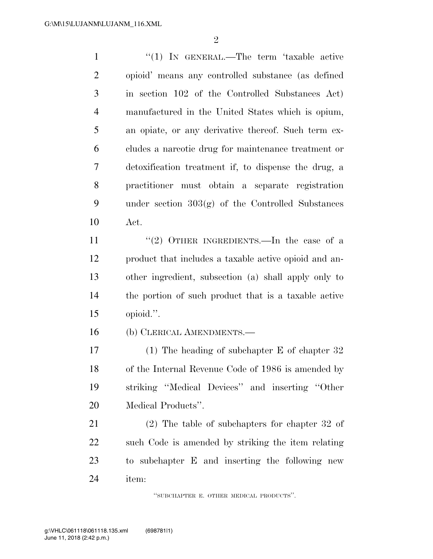$\mathfrak{D}$ 

1 "(1) IN GENERAL.—The term 'taxable active opioid' means any controlled substance (as defined in section 102 of the Controlled Substances Act) manufactured in the United States which is opium, an opiate, or any derivative thereof. Such term ex- cludes a narcotic drug for maintenance treatment or detoxification treatment if, to dispense the drug, a practitioner must obtain a separate registration under section 303(g) of the Controlled Substances Act.

11 ''(2) OTHER INGREDIENTS.—In the case of a product that includes a taxable active opioid and an- other ingredient, subsection (a) shall apply only to the portion of such product that is a taxable active opioid.''.

(b) CLERICAL AMENDMENTS.—

 (1) The heading of subchapter E of chapter 32 of the Internal Revenue Code of 1986 is amended by striking ''Medical Devices'' and inserting ''Other Medical Products''.

 (2) The table of subchapters for chapter 32 of such Code is amended by striking the item relating to subchapter E and inserting the following new item:

''SUBCHAPTER E. OTHER MEDICAL PRODUCTS''.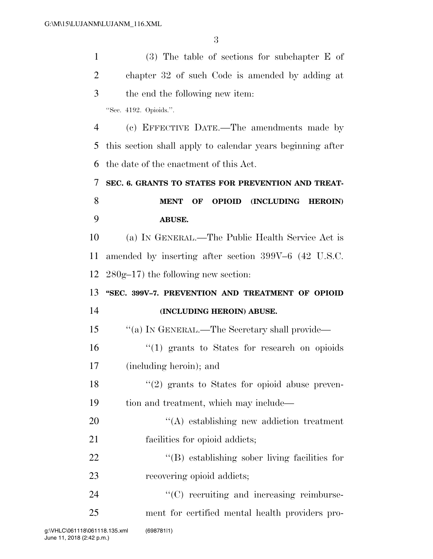(3) The table of sections for subchapter E of chapter 32 of such Code is amended by adding at the end the following new item: ''Sec. 4192. Opioids.''. (c) EFFECTIVE DATE.—The amendments made by this section shall apply to calendar years beginning after the date of the enactment of this Act. **SEC. 6. GRANTS TO STATES FOR PREVENTION AND TREAT- MENT OF OPIOID (INCLUDING HEROIN) ABUSE.**  (a) IN GENERAL.—The Public Health Service Act is amended by inserting after section 399V–6 (42 U.S.C. 280g–17) the following new section: **''SEC. 399V–7. PREVENTION AND TREATMENT OF OPIOID (INCLUDING HEROIN) ABUSE.**  ''(a) IN GENERAL.—The Secretary shall provide— ''(1) grants to States for research on opioids (including heroin); and ''(2) grants to States for opioid abuse preven- tion and treatment, which may include—  $\langle (A)$  establishing new addiction treatment facilities for opioid addicts;  $\langle (B)$  establishing sober living facilities for 23 recovering opioid addicts;  $\cdot$  (C) recruiting and increasing reimburse-ment for certified mental health providers pro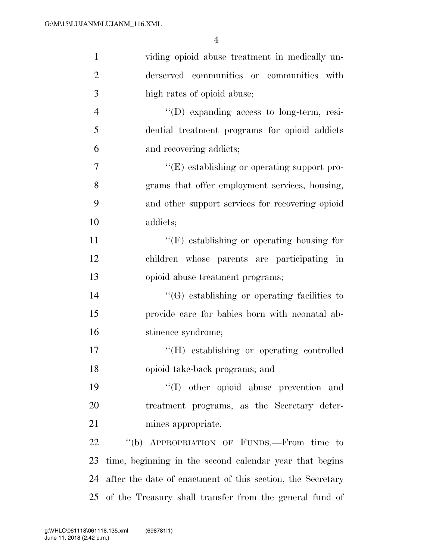| $\mathbf{1}$   | viding opioid abuse treatment in medically un-             |
|----------------|------------------------------------------------------------|
| $\overline{2}$ | derserved communities or communities with                  |
| 3              | high rates of opioid abuse;                                |
| $\overline{4}$ | "(D) expanding access to long-term, resi-                  |
| 5              | dential treatment programs for opioid addicts              |
| 6              | and recovering addicts;                                    |
| $\tau$         | $\lq\lq(E)$ establishing or operating support pro-         |
| 8              | grams that offer employment services, housing,             |
| 9              | and other support services for recovering opioid           |
| 10             | addicts;                                                   |
| 11             | $\lq\lq(F)$ establishing or operating housing for          |
| 12             | children whose parents are participating in                |
| 13             | opioid abuse treatment programs;                           |
| 14             | $\lq\lq(G)$ establishing or operating facilities to        |
| 15             | provide care for babies born with neonatal ab-             |
| 16             | stinence syndrome;                                         |
| 17             | "(H) establishing or operating controlled                  |
| 18             | opioid take-back programs; and                             |
| 19             | "(I) other opioid abuse prevention and                     |
| 20             | treatment programs, as the Secretary deter-                |
| 21             | mines appropriate.                                         |
| 22             | "(b) APPROPRIATION OF FUNDS.—From time to                  |
| 23             | time, beginning in the second calendar year that begins    |
| 24             | after the date of enactment of this section, the Secretary |
|                | 25 of the Treasury shall transfer from the general fund of |